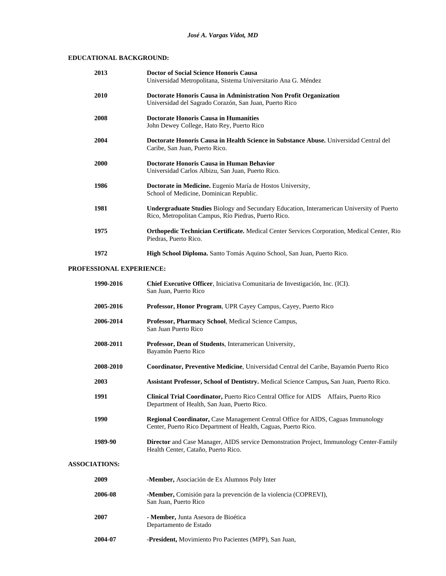## **EDUCATIONAL BACKGROUND:**

|                          | 2013      | Doctor of Social Science Honoris Causa<br>Universidad Metropolitana, Sistema Universitario Ana G. Méndez                                                  |  |
|--------------------------|-----------|-----------------------------------------------------------------------------------------------------------------------------------------------------------|--|
|                          | 2010      | Doctorate Honoris Causa in Administration Non Profit Organization<br>Universidad del Sagrado Corazón, San Juan, Puerto Rico                               |  |
|                          | 2008      | <b>Doctorate Honoris Causa in Humanities</b><br>John Dewey College, Hato Rey, Puerto Rico                                                                 |  |
|                          | 2004      | Doctorate Honoris Causa in Health Science in Substance Abuse. Universidad Central del<br>Caribe, San Juan, Puerto Rico.                                   |  |
|                          | 2000      | Doctorate Honoris Causa in Human Behavior<br>Universidad Carlos Albizu, San Juan, Puerto Rico.                                                            |  |
|                          | 1986      | Doctorate in Medicine. Eugenio María de Hostos University,<br>School of Medicine, Dominican Republic.                                                     |  |
|                          | 1981      | <b>Undergraduate Studies Biology and Secundary Education, Interamerican University of Puerto</b><br>Rico, Metropolitan Campus, Río Piedras, Puerto Rico.  |  |
|                          | 1975      | Orthopedic Technician Certificate. Medical Center Services Corporation, Medical Center, Rio<br>Piedras, Puerto Rico.                                      |  |
|                          | 1972      | High School Diploma. Santo Tomás Aquino School, San Juan, Puerto Rico.                                                                                    |  |
| PROFESSIONAL EXPERIENCE: |           |                                                                                                                                                           |  |
|                          | 1990-2016 | Chief Executive Officer, Iniciativa Comunitaria de Investigación, Inc. (ICI).<br>San Juan, Puerto Rico                                                    |  |
|                          | 2005-2016 | Professor, Honor Program, UPR Cayey Campus, Cayey, Puerto Rico                                                                                            |  |
|                          | 2006-2014 | Professor, Pharmacy School, Medical Science Campus,<br>San Juan Puerto Rico                                                                               |  |
|                          | 2008-2011 | Professor, Dean of Students, Interamerican University,<br>Bayamón Puerto Rico                                                                             |  |
|                          | 2008-2010 | Coordinator, Preventive Medicine, Universidad Central del Caribe, Bayamón Puerto Rico                                                                     |  |
|                          | 2003      | Assistant Professor, School of Dentistry. Medical Science Campus, San Juan, Puerto Rico.                                                                  |  |
|                          | 1991      | Clinical Trial Coordinator, Puerto Rico Central Office for AIDS Affairs, Puerto Rico<br>Department of Health, San Juan, Puerto Rico.                      |  |
|                          | 1990      | <b>Regional Coordinator, Case Management Central Office for AIDS, Caguas Immunology</b><br>Center, Puerto Rico Department of Health, Caguas, Puerto Rico. |  |
|                          | 1989-90   | <b>Director</b> and Case Manager, AIDS service Demonstration Project, Immunology Center-Family<br>Health Center, Cataño, Puerto Rico.                     |  |
| <b>ASSOCIATIONS:</b>     |           |                                                                                                                                                           |  |
|                          | 2009      | -Member, Asociación de Ex Alumnos Poly Inter                                                                                                              |  |
|                          | 2006-08   | -Member, Comisión para la prevención de la violencia (COPREVI),<br>San Juan, Puerto Rico                                                                  |  |
|                          | 2007      | - Member, Junta Asesora de Bioética                                                                                                                       |  |

- Departamento de Estado
- **2004-07 -President,** Movimiento Pro Pacientes (MPP), San Juan,